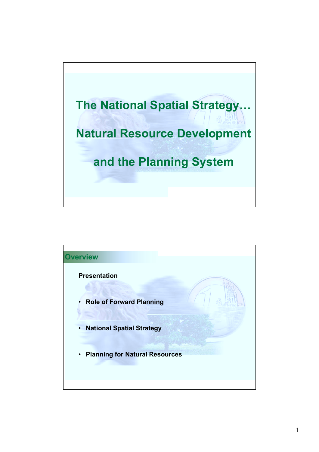

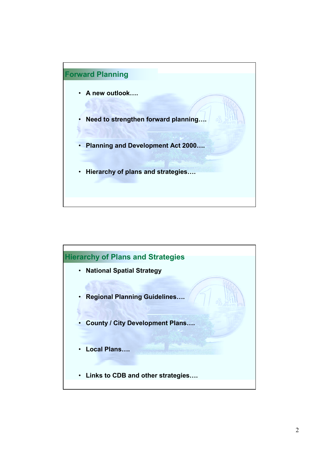

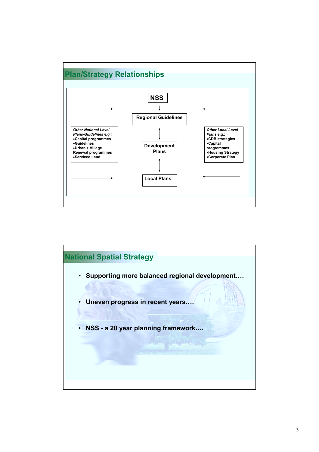

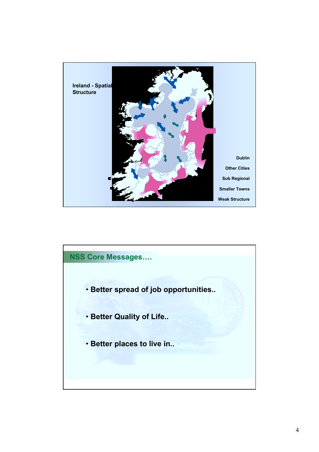

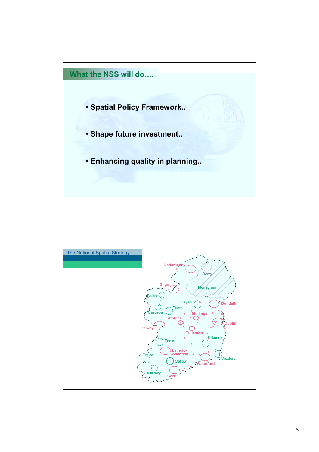

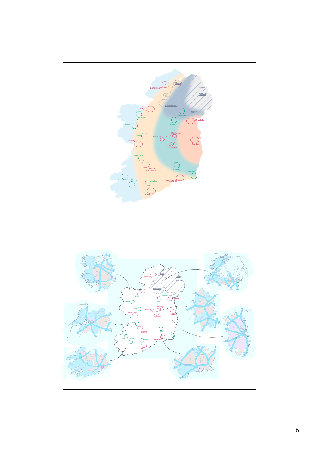

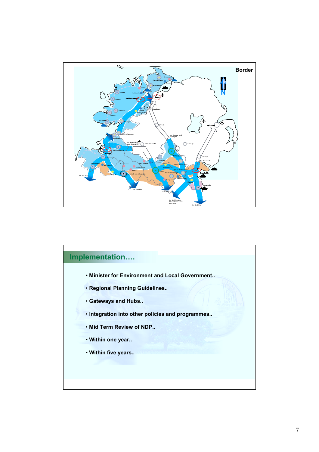